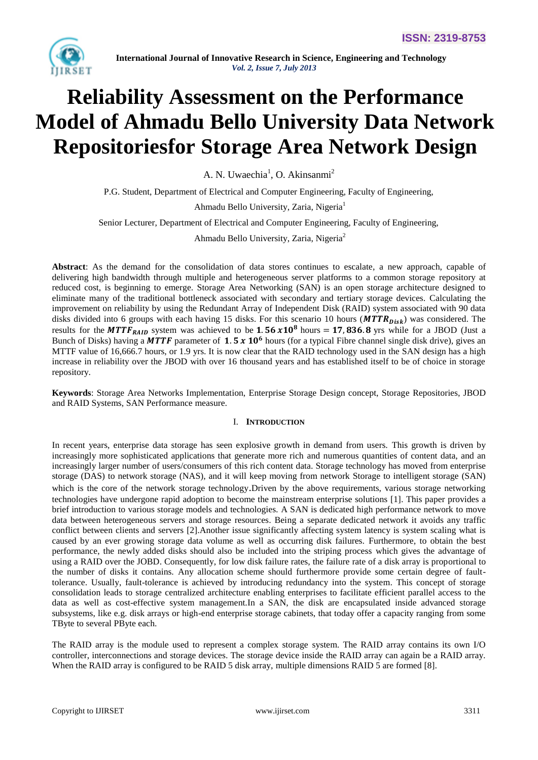

# **Reliability Assessment on the Performance Model of Ahmadu Bello University Data Network Repositoriesfor Storage Area Network Design**

A. N. Uwaechia<sup>1</sup>, O. Akinsanmi<sup>2</sup>

P.G. Student, Department of Electrical and Computer Engineering, Faculty of Engineering, Ahmadu Bello University, Zaria, Nigeria<sup>1</sup>

Senior Lecturer, Department of Electrical and Computer Engineering, Faculty of Engineering,

Ahmadu Bello University, Zaria, Nigeria<sup>2</sup>

**Abstract**: As the demand for the consolidation of data stores continues to escalate, a new approach, capable of delivering high bandwidth through multiple and heterogeneous server platforms to a common storage repository at reduced cost, is beginning to emerge. Storage Area Networking (SAN) is an open storage architecture designed to eliminate many of the traditional bottleneck associated with secondary and tertiary storage devices. Calculating the improvement on reliability by using the Redundant Array of Independent Disk (RAID) system associated with 90 data disks divided into 6 groups with each having 15 disks. For this scenario 10 hours ( $MTTR_{Disk}$ ) was considered. The results for the  $MTTF_{RAID}$  system was achieved to be 1.56  $x10^8$  hours = 17,836.8 yrs while for a JBOD (Just a Bunch of Disks) having a MTTF parameter of 1.5  $x$  10<sup>6</sup> hours (for a typical Fibre channel single disk drive), gives an MTTF value of 16,666.7 hours, or 1.9 yrs. It is now clear that the RAID technology used in the SAN design has a high increase in reliability over the JBOD with over 16 thousand years and has established itself to be of choice in storage repository.

**Keywords**: Storage Area Networks Implementation, Enterprise Storage Design concept, Storage Repositories, JBOD and RAID Systems, SAN Performance measure.

# I. **INTRODUCTION**

In recent years, enterprise data storage has seen explosive growth in demand from users. This growth is driven by increasingly more sophisticated applications that generate more rich and numerous quantities of content data, and an increasingly larger number of users/consumers of this rich content data. Storage technology has moved from enterprise storage (DAS) to network storage (NAS), and it will keep moving from network Storage to intelligent storage (SAN) which is the core of the network storage technology. Driven by the above requirements, various storage networking technologies have undergone rapid adoption to become the mainstream enterprise solutions [1]. This paper provides a brief introduction to various storage models and technologies. A SAN is dedicated high performance network to move data between heterogeneous servers and storage resources. Being a separate dedicated network it avoids any traffic conflict between clients and servers [2].Another issue significantly affecting system latency is system scaling what is caused by an ever growing storage data volume as well as occurring disk failures. Furthermore, to obtain the best performance, the newly added disks should also be included into the striping process which gives the advantage of using a RAID over the JOBD. Consequently, for low disk failure rates, the failure rate of a disk array is proportional to the number of disks it contains. Any allocation scheme should furthermore provide some certain degree of faulttolerance. Usually, fault-tolerance is achieved by introducing redundancy into the system. This concept of storage consolidation leads to storage centralized architecture enabling enterprises to facilitate efficient parallel access to the data as well as cost-effective system management.In a SAN, the disk are encapsulated inside advanced storage subsystems, like e.g. disk arrays or high-end enterprise storage cabinets, that today offer a capacity ranging from some TByte to several PByte each.

The RAID array is the module used to represent a complex storage system. The RAID array contains its own I/O controller, interconnections and storage devices. The storage device inside the RAID array can again be a RAID array. When the RAID array is configured to be RAID 5 disk array, multiple dimensions RAID 5 are formed [8].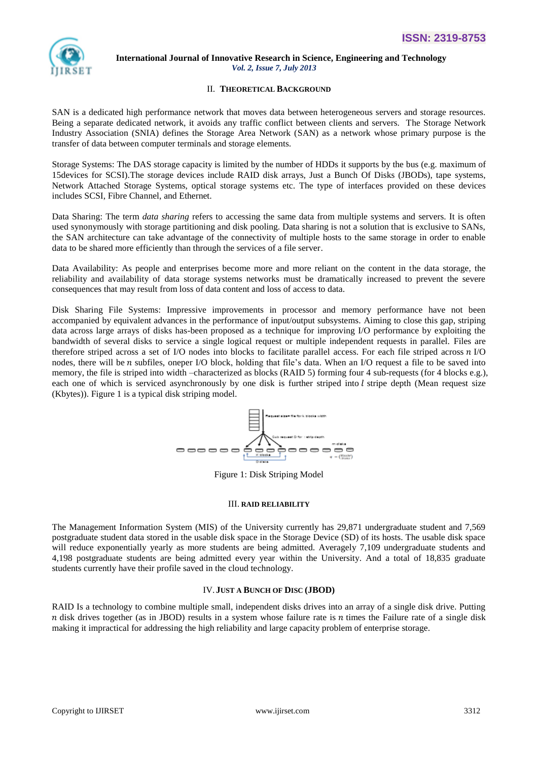

# II. **THEORETICAL BACKGROUND**

SAN is a dedicated high performance network that moves data between heterogeneous servers and storage resources. Being a separate dedicated network, it avoids any traffic conflict between clients and servers. The Storage Network Industry Association (SNIA) defines the Storage Area Network (SAN) as a network whose primary purpose is the transfer of data between computer terminals and storage elements.

Storage Systems: The DAS storage capacity is limited by the number of HDDs it supports by the bus (e.g. maximum of 15devices for SCSI).The storage devices include RAID disk arrays, Just a Bunch Of Disks (JBODs), tape systems, Network Attached Storage Systems, optical storage systems etc. The type of interfaces provided on these devices includes SCSI, Fibre Channel, and Ethernet.

Data Sharing: The term *data sharing* refers to accessing the same data from multiple systems and servers. It is often used synonymously with storage partitioning and disk pooling. Data sharing is not a solution that is exclusive to SANs, the SAN architecture can take advantage of the connectivity of multiple hosts to the same storage in order to enable data to be shared more efficiently than through the services of a file server.

Data Availability: As people and enterprises become more and more reliant on the content in the data storage, the reliability and availability of data storage systems networks must be dramatically increased to prevent the severe consequences that may result from loss of data content and loss of access to data.

Disk Sharing File Systems: Impressive improvements in processor and memory performance have not been accompanied by equivalent advances in the performance of input/output subsystems. Aiming to close this gap, striping data across large arrays of disks has-been proposed as a technique for improving I/O performance by exploiting the bandwidth of several disks to service a single logical request or multiple independent requests in parallel. Files are therefore striped across a set of I/O nodes into blocks to facilitate parallel access. For each file striped across  $n<sub>I</sub>/O$ nodes, there will be  $n$  subfiles, oneper I/O block, holding that file's data. When an I/O request a file to be saved into memory, the file is striped into width –characterized as blocks (RAID 5) forming four 4 sub-requests (for 4 blocks e.g.), each one of which is serviced asynchronously by one disk is further striped into  $l$  stripe depth (Mean request size (Kbytes)). Figure 1 is a typical disk striping model.



Figure 1: Disk Striping Model

## III. **RAID RELIABILITY**

The Management Information System (MIS) of the University currently has 29,871 undergraduate student and 7,569 postgraduate student data stored in the usable disk space in the Storage Device (SD) of its hosts. The usable disk space will reduce exponentially yearly as more students are being admitted. Averagely 7,109 undergraduate students and 4,198 postgraduate students are being admitted every year within the University. And a total of 18,835 graduate students currently have their profile saved in the cloud technology.

# IV. **JUST A BUNCH OF DISC (JBOD)**

RAID Is a technology to combine multiple small, independent disks drives into an array of a single disk drive. Putting n disk drives together (as in JBOD) results in a system whose failure rate is  $n$  times the Failure rate of a single disk making it impractical for addressing the high reliability and large capacity problem of enterprise storage.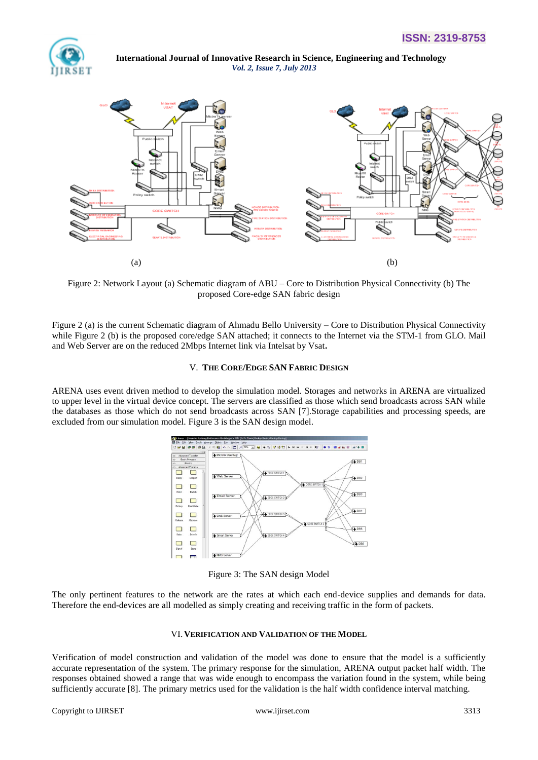



Figure 2: Network Layout (a) Schematic diagram of ABU – Core to Distribution Physical Connectivity (b) The proposed Core-edge SAN fabric design

Figure 2 (a) is the current Schematic diagram of Ahmadu Bello University – Core to Distribution Physical Connectivity while Figure 2 (b) is the proposed core/edge SAN attached; it connects to the Internet via the STM-1 from GLO. Mail and Web Server are on the reduced 2Mbps Internet link via Intelsat by Vsat**.** 

## V. **THE CORE/EDGE SAN FABRIC DESIGN**

ARENA uses event driven method to develop the simulation model. Storages and networks in ARENA are virtualized to upper level in the virtual device concept. The servers are classified as those which send broadcasts across SAN while the databases as those which do not send broadcasts across SAN [7].Storage capabilities and processing speeds, are excluded from our simulation model. Figure 3 is the SAN design model.



Figure 3: The SAN design Model

The only pertinent features to the network are the rates at which each end-device supplies and demands for data. Therefore the end-devices are all modelled as simply creating and receiving traffic in the form of packets.

#### VI.**VERIFICATION AND VALIDATION OF THE MODEL**

Verification of model construction and validation of the model was done to ensure that the model is a sufficiently accurate representation of the system. The primary response for the simulation, ARENA output packet half width. The responses obtained showed a range that was wide enough to encompass the variation found in the system, while being sufficiently accurate [8]. The primary metrics used for the validation is the half width confidence interval matching.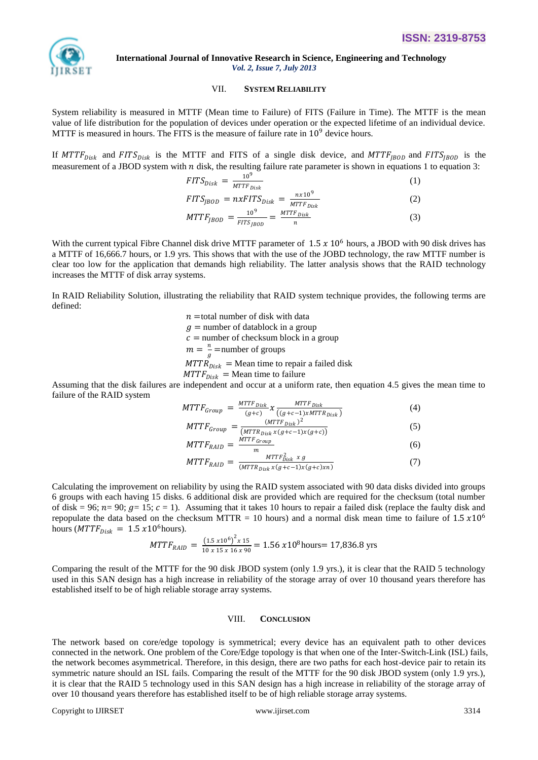

# VII. **SYSTEM RELIABILITY**

System reliability is measured in MTTF (Mean time to Failure) of FITS (Failure in Time). The MTTF is the mean value of life distribution for the population of devices under operation or the expected lifetime of an individual device. MTTF is measured in hours. The FITS is the measure of failure rate in  $10^9$  device hours.

If  $MTTF_{Disk}$  and  $FITS_{Disk}$  is the MTTF and FITS of a single disk device, and  $MTTF_{JBOD}$  and  $FITS_{JBOD}$  is the measurement of a JBOD system with  $n$  disk, the resulting failure rate parameter is shown in equations 1 to equation 3:

$$
FITS_{Disk} = \frac{10^9}{MTTF_{Disk}} \tag{1}
$$
\n
$$
FITS = \frac{10^9}{MTTF_{Disk}} \tag{2}
$$

$$
FITS_{JBOD} = nxFITS_{Disk} = \frac{nx}{MTF_{Disk}} \tag{2}
$$

$$
MTF_{JBOD} = \frac{10^9}{FITS_{JBOD}} = \frac{MTTF_{Disk}}{n}
$$
 (3)

With the current typical Fibre Channel disk drive MTTF parameter of  $1.5 \times 10^6$  hours, a JBOD with 90 disk drives has a MTTF of 16,666.7 hours, or 1.9 yrs. This shows that with the use of the JOBD technology, the raw MTTF number is clear too low for the application that demands high reliability. The latter analysis shows that the RAID technology increases the MTTF of disk array systems.

In RAID Reliability Solution, illustrating the reliability that RAID system technique provides, the following terms are defined:

> $n =$ total number of disk with data  $q =$  number of datablock in a group  $c$  = number of checksum block in a group  $m=\frac{n}{2}$  $\frac{n}{g}$  =number of groups  $MTTR_{Disk}$  = Mean time to repair a failed disk  $MTTF_{Disk}$  = Mean time to failure

Assuming that the disk failures are independent and occur at a uniform rate, then equation 4.5 gives the mean time to failure of the RAID system

$$
MTTF_{Group} = \frac{MTF_{Disk}}{(g+c)} \chi \frac{MTF_{Disk}}{((g+c-1)\chi MTTR_{Disk})}
$$
(4)  

$$
MTTF = \qquad (MTTF_{Disk})^2
$$
(5)

$$
MTTF_{Group} = \frac{\frac{\text{(with TF}}{\text{(MTR}_{Disk} x(g+c-1)x(g+c))}}{\frac{\text{(MTR}_{Disk} x(g+c-1)x(g+c))}{\text{(5)}}}
$$
\n
$$
MTTF = \frac{\text{(MTR}_{bisk} x(g+c-1)x(g+c)}{\text{(6)}}
$$

$$
MTTF_{RAID} = \frac{m \cdot 1 \cdot 1 \cdot 0 \cdot row}{m}
$$
\n
$$
MTTF_{\text{max}} = \frac{MTTF_{\text{Disk}}^2 \times g}{m}
$$
\n(6)

$$
MTTF_{RAID} = \frac{MTTP_{Disk} \times g}{(MTTR_{Disk} \times (g+c-1)\times (g+c)\times n)}
$$
(7)

Calculating the improvement on reliability by using the RAID system associated with 90 data disks divided into groups 6 groups with each having 15 disks. 6 additional disk are provided which are required for the checksum (total number of disk = 96;  $n=$  90;  $g=$  15;  $c=$  1). Assuming that it takes 10 hours to repair a failed disk (replace the faulty disk and repopulate the data based on the checksum MTTR = 10 hours) and a normal disk mean time to failure of  $1.5 \times 10^6$ hours ( $MTTF_{Disk} = 1.5 \times 10^6$ hours).

$$
MTTF_{RAID} = \frac{(1.5 \times 10^6)^2 \times 15}{10 \times 15 \times 16 \times 90} = 1.56 \times 10^8
$$
 hours = 17,836.8 yrs

Comparing the result of the MTTF for the 90 disk JBOD system (only 1.9 yrs.), it is clear that the RAID 5 technology used in this SAN design has a high increase in reliability of the storage array of over 10 thousand years therefore has established itself to be of high reliable storage array systems.

## VIII. **CONCLUSION**

The network based on core/edge topology is symmetrical; every device has an equivalent path to other devices connected in the network. One problem of the Core/Edge topology is that when one of the Inter-Switch-Link (ISL) fails, the network becomes asymmetrical. Therefore, in this design, there are two paths for each host-device pair to retain its symmetric nature should an ISL fails. Comparing the result of the MTTF for the 90 disk JBOD system (only 1.9 yrs.), it is clear that the RAID 5 technology used in this SAN design has a high increase in reliability of the storage array of over 10 thousand years therefore has established itself to be of high reliable storage array systems.